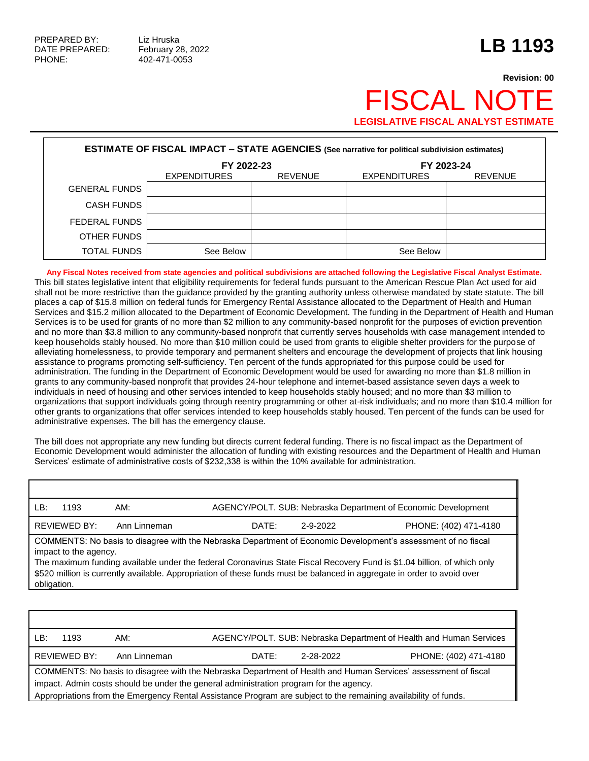## **Revision: 00** FISCAL NO **LEGISLATIVE FISCAL ANALYST ESTIMA**

| <b>ESTIMATE OF FISCAL IMPACT - STATE AGENCIES (See narrative for political subdivision estimates)</b> |                                       |  |                     |                |  |
|-------------------------------------------------------------------------------------------------------|---------------------------------------|--|---------------------|----------------|--|
|                                                                                                       | FY 2022-23                            |  | FY 2023-24          |                |  |
|                                                                                                       | <b>EXPENDITURES</b><br><b>REVENUE</b> |  | <b>EXPENDITURES</b> | <b>REVENUE</b> |  |
| <b>GENERAL FUNDS</b>                                                                                  |                                       |  |                     |                |  |
| <b>CASH FUNDS</b>                                                                                     |                                       |  |                     |                |  |
| FEDERAL FUNDS                                                                                         |                                       |  |                     |                |  |
| OTHER FUNDS                                                                                           |                                       |  |                     |                |  |
| TOTAL FUNDS                                                                                           | See Below                             |  | See Below           |                |  |

**Any Fiscal Notes received from state agencies and political subdivisions are attached following the Legislative Fiscal Analyst Estimate.** This bill states legislative intent that eligibility requirements for federal funds pursuant to the American Rescue Plan Act used for aid shall not be more restrictive than the guidance provided by the granting authority unless otherwise mandated by state statute. The bill places a cap of \$15.8 million on federal funds for Emergency Rental Assistance allocated to the Department of Health and Human Services and \$15.2 million allocated to the Department of Economic Development. The funding in the Department of Health and Human Services is to be used for grants of no more than \$2 million to any community-based nonprofit for the purposes of eviction prevention and no more than \$3.8 million to any community-based nonprofit that currently serves households with case management intended to keep households stably housed. No more than \$10 million could be used from grants to eligible shelter providers for the purpose of alleviating homelessness, to provide temporary and permanent shelters and encourage the development of projects that link housing assistance to programs promoting self-sufficiency. Ten percent of the funds appropriated for this purpose could be used for administration. The funding in the Department of Economic Development would be used for awarding no more than \$1.8 million in grants to any community-based nonprofit that provides 24-hour telephone and internet-based assistance seven days a week to individuals in need of housing and other services intended to keep households stably housed; and no more than \$3 million to organizations that support individuals going through reentry programming or other at-risk individuals; and no more than \$10.4 million for other grants to organizations that offer services intended to keep households stably housed. Ten percent of the funds can be used for administrative expenses. The bill has the emergency clause.

The bill does not appropriate any new funding but directs current federal funding. There is no fiscal impact as the Department of Economic Development would administer the allocation of funding with existing resources and the Department of Health and Human Services' estimate of administrative costs of \$232,338 is within the 10% available for administration.

| ⊥ B∴                                                                                                                                   | 1193 | AM:   |          |                       | AGENCY/POLT. SUB: Nebraska Department of Economic Development |
|----------------------------------------------------------------------------------------------------------------------------------------|------|-------|----------|-----------------------|---------------------------------------------------------------|
| REVIEWED BY:<br>Ann Linneman                                                                                                           |      | DATE: | 2-9-2022 | PHONE: (402) 471-4180 |                                                               |
| COMMENTS: No basis to disagree with the Nebraska Department of Economic Development's assessment of no fiscal<br>impact to the agency. |      |       |          |                       |                                                               |

The maximum funding available under the federal Coronavirus State Fiscal Recovery Fund is \$1.04 billion, of which only \$520 million is currently available. Appropriation of these funds must be balanced in aggregate in order to avoid over obligation.

| LB:                                                                                                                                                                                                      | 1193                | AM:          |       |           | AGENCY/POLT. SUB: Nebraska Department of Health and Human Services |
|----------------------------------------------------------------------------------------------------------------------------------------------------------------------------------------------------------|---------------------|--------------|-------|-----------|--------------------------------------------------------------------|
|                                                                                                                                                                                                          | <b>REVIEWED BY:</b> | Ann Linneman | DATE: | 2-28-2022 | PHONE: (402) 471-4180                                              |
| COMMENTS: No basis to disagree with the Nebraska Department of Health and Human Services' assessment of fiscal<br>impact. Admin costs should be under the general administration program for the agency. |                     |              |       |           |                                                                    |
| Appropriations from the Emergency Rental Assistance Program are subject to the remaining availability of funds.                                                                                          |                     |              |       |           |                                                                    |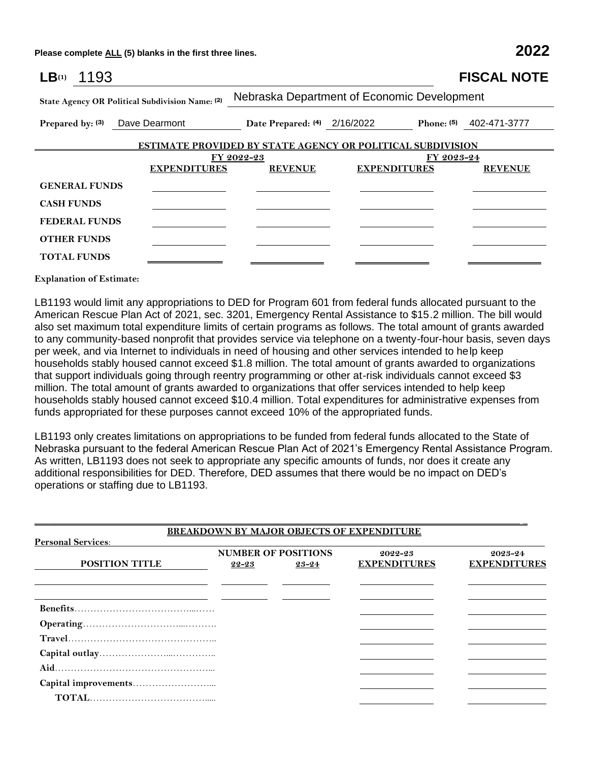**Please complete ALL (5) blanks in the first three lines. 2022**

| LB(1)<br>1193                                               |                |                                                                   | <b>FISCAL NOTE</b>        |  |  |
|-------------------------------------------------------------|----------------|-------------------------------------------------------------------|---------------------------|--|--|
| State Agency OR Political Subdivision Name: (2)             |                | Nebraska Department of Economic Development                       |                           |  |  |
| Prepared by: (3) Dave Dearmont Date Prepared: (4) 2/16/2022 |                |                                                                   | Phone: $(5)$ 402-471-3777 |  |  |
|                                                             |                | <b>ESTIMATE PROVIDED BY STATE AGENCY OR POLITICAL SUBDIVISION</b> |                           |  |  |
|                                                             | FY 2022-23     |                                                                   | FY 2023-24                |  |  |
| <b>EXPENDITURES</b>                                         | <b>REVENUE</b> | <b>EXPENDITURES</b>                                               | <b>REVENUE</b>            |  |  |
| <b>GENERAL FUNDS</b>                                        |                |                                                                   |                           |  |  |
| <b>CASH FUNDS</b>                                           |                |                                                                   |                           |  |  |
| <b>FEDERAL FUNDS</b>                                        |                |                                                                   |                           |  |  |
| <b>OTHER FUNDS</b>                                          |                |                                                                   |                           |  |  |
| <b>TOTAL FUNDS</b>                                          |                |                                                                   |                           |  |  |
|                                                             |                |                                                                   |                           |  |  |

**Explanation of Estimate:**

LB1193 would limit any appropriations to DED for Program 601 from federal funds allocated pursuant to the American Rescue Plan Act of 2021, sec. 3201, Emergency Rental Assistance to \$15.2 million. The bill would also set maximum total expenditure limits of certain programs as follows. The total amount of grants awarded to any community-based nonprofit that provides service via telephone on a twenty-four-hour basis, seven days per week, and via Internet to individuals in need of housing and other services intended to help keep households stably housed cannot exceed \$1.8 million. The total amount of grants awarded to organizations that support individuals going through reentry programming or other at-risk individuals cannot exceed \$3 million. The total amount of grants awarded to organizations that offer services intended to help keep households stably housed cannot exceed \$10.4 million. Total expenditures for administrative expenses from funds appropriated for these purposes cannot exceed 10% of the appropriated funds.

LB1193 only creates limitations on appropriations to be funded from federal funds allocated to the State of Nebraska pursuant to the federal American Rescue Plan Act of 2021's Emergency Rental Assistance Program. As written, LB1193 does not seek to appropriate any specific amounts of funds, nor does it create any additional responsibilities for DED. Therefore, DED assumes that there would be no impact on DED's operations or staffing due to LB1193.

| <b>Personal Services:</b> |       |                                     | <b>BREAKDOWN BY MAJOR OBJECTS OF EXPENDITURE</b> |                                |
|---------------------------|-------|-------------------------------------|--------------------------------------------------|--------------------------------|
| <b>POSITION TITLE</b>     | 22-23 | <b>NUMBER OF POSITIONS</b><br>23-24 | 2022-23<br><b>EXPENDITURES</b>                   | 2023-24<br><b>EXPENDITURES</b> |
|                           |       |                                     |                                                  |                                |
|                           |       |                                     |                                                  |                                |
|                           |       |                                     |                                                  |                                |
|                           |       |                                     |                                                  |                                |
|                           |       |                                     |                                                  |                                |
|                           |       |                                     |                                                  |                                |
|                           |       |                                     |                                                  |                                |
|                           |       |                                     |                                                  |                                |